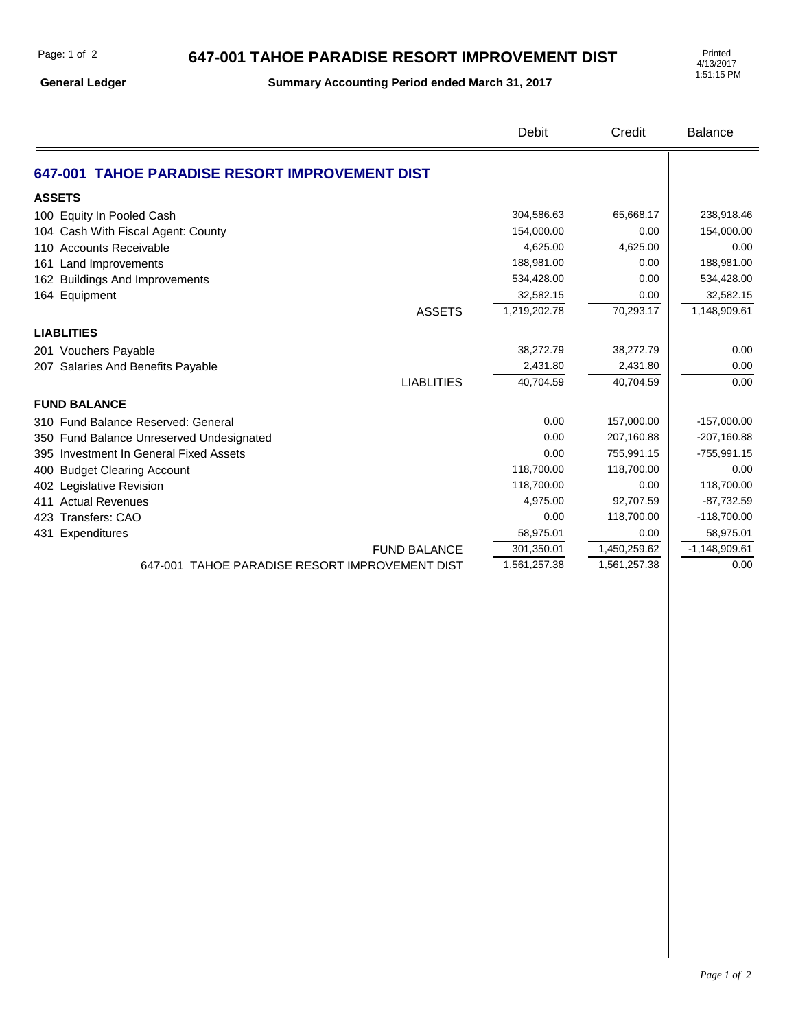## **647-001 TAHOE PARADISE RESORT IMPROVEMENT DIST**

**General Ledger**

**Summary Accounting Period ended March 31, 2017**

4/13/2017 1:51:15 PM

|                                                | <b>Debit</b> | Credit       | Balance         |
|------------------------------------------------|--------------|--------------|-----------------|
| 647-001 TAHOE PARADISE RESORT IMPROVEMENT DIST |              |              |                 |
| <b>ASSETS</b>                                  |              |              |                 |
| 100 Equity In Pooled Cash                      | 304,586.63   | 65,668.17    | 238,918.46      |
| 104 Cash With Fiscal Agent: County             | 154,000.00   | 0.00         | 154,000.00      |
| 110 Accounts Receivable                        | 4,625.00     | 4,625.00     | 0.00            |
| 161 Land Improvements                          | 188,981.00   | 0.00         | 188,981.00      |
| 162 Buildings And Improvements                 | 534,428.00   | 0.00         | 534,428.00      |
| 164 Equipment                                  | 32,582.15    | 0.00         | 32,582.15       |
| <b>ASSETS</b>                                  | 1,219,202.78 | 70,293.17    | 1,148,909.61    |
| <b>LIABLITIES</b>                              |              |              |                 |
| 201 Vouchers Payable                           | 38,272.79    | 38,272.79    | 0.00            |
| 207 Salaries And Benefits Payable              | 2,431.80     | 2,431.80     | 0.00            |
| <b>LIABLITIES</b>                              | 40,704.59    | 40,704.59    | 0.00            |
| <b>FUND BALANCE</b>                            |              |              |                 |
| 310 Fund Balance Reserved: General             | 0.00         | 157,000.00   | $-157,000.00$   |
| 350 Fund Balance Unreserved Undesignated       | 0.00         | 207,160.88   | $-207,160.88$   |
| 395 Investment In General Fixed Assets         | 0.00         | 755,991.15   | $-755,991.15$   |
| 400 Budget Clearing Account                    | 118,700.00   | 118,700.00   | 0.00            |
| 402 Legislative Revision                       | 118,700.00   | 0.00         | 118,700.00      |
| 411 Actual Revenues                            | 4,975.00     | 92,707.59    | $-87,732.59$    |
| 423 Transfers: CAO                             | 0.00         | 118,700.00   | $-118,700.00$   |
| 431 Expenditures                               | 58,975.01    | 0.00         | 58,975.01       |
| <b>FUND BALANCE</b>                            | 301,350.01   | 1,450,259.62 | $-1,148,909.61$ |
| 647-001 TAHOE PARADISE RESORT IMPROVEMENT DIST | 1,561,257.38 | 1,561,257.38 | 0.00            |
|                                                |              |              |                 |
|                                                |              |              |                 |
|                                                |              |              |                 |
|                                                |              |              |                 |
|                                                |              |              |                 |
|                                                |              |              |                 |
|                                                |              |              |                 |
|                                                |              |              |                 |
|                                                |              |              |                 |
|                                                |              |              |                 |
|                                                |              |              |                 |
|                                                |              |              |                 |
|                                                |              |              |                 |
|                                                |              |              |                 |
|                                                |              |              |                 |
|                                                |              |              |                 |
|                                                |              |              |                 |
|                                                |              |              |                 |
|                                                |              |              |                 |
|                                                |              |              |                 |
|                                                |              |              |                 |
|                                                |              |              |                 |
|                                                |              |              |                 |